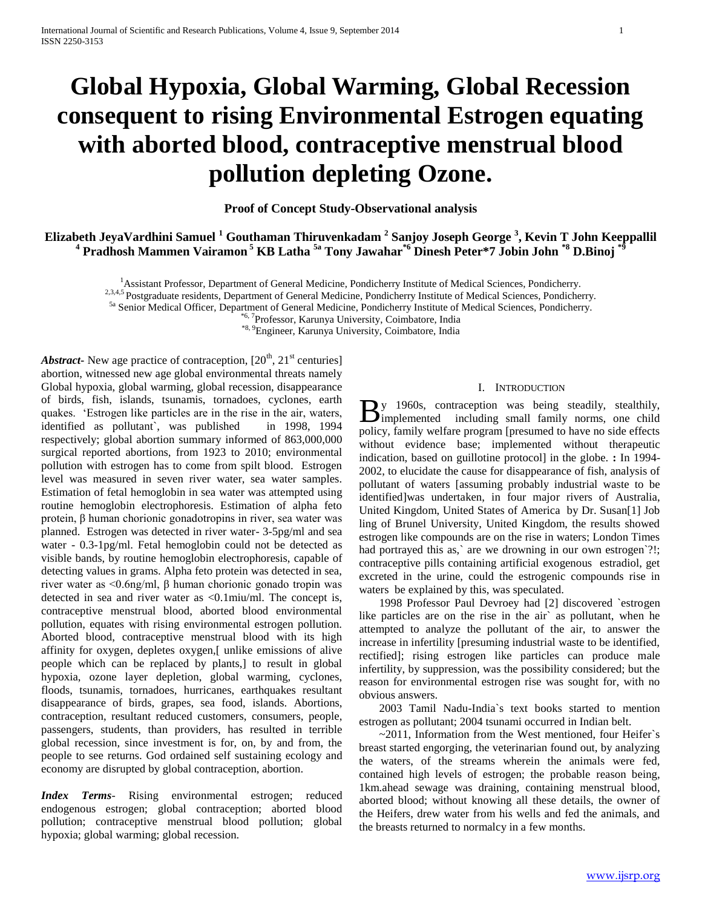# **Global Hypoxia, Global Warming, Global Recession consequent to rising Environmental Estrogen equating with aborted blood, contraceptive menstrual blood pollution depleting Ozone.**

**Proof of Concept Study-Observational analysis**

**Elizabeth JeyaVardhini Samuel <sup>1</sup> Gouthaman Thiruvenkadam <sup>2</sup> Sanjoy Joseph George <sup>3</sup> , Kevin T John Keeppallil <sup>4</sup> Pradhosh Mammen Vairamon <sup>5</sup> KB Latha 5a Tony Jawahar\*6 Dinesh Peter\*7 Jobin John \*8 D.Binoj \*9**

<sup>1</sup>Assistant Professor, Department of General Medicine, Pondicherry Institute of Medical Sciences, Pondicherry.

<sup>2,3,4,5</sup> Postgraduate residents, Department of General Medicine, Pondicherry Institute of Medical Sciences, Pondicherry.

5a Senior Medical Officer, Department of General Medicine, Pondicherry Institute of Medical Sciences, Pondicherry.

<sup>6, 7</sup>Professor, Karunya University, Coimbatore, India

\*8, 9Engineer, Karunya University, Coimbatore, India

*Abstract***-** New age practice of contraception,  $[20^{th}, 21^{st}$  centuries] abortion, witnessed new age global environmental threats namely Global hypoxia, global warming, global recession, disappearance of birds, fish, islands, tsunamis, tornadoes, cyclones, earth quakes. 'Estrogen like particles are in the rise in the air, waters, identified as pollutant`, was published in 1998, 1994 respectively; global abortion summary informed of 863,000,000 surgical reported abortions, from 1923 to 2010; environmental pollution with estrogen has to come from spilt blood. Estrogen level was measured in seven river water, sea water samples. Estimation of fetal hemoglobin in sea water was attempted using routine hemoglobin electrophoresis. Estimation of alpha feto protein, β human chorionic gonadotropins in river, sea water was planned. Estrogen was detected in river water- 3-5pg/ml and sea water - 0.3-1pg/ml. Fetal hemoglobin could not be detected as visible bands, by routine hemoglobin electrophoresis, capable of detecting values in grams. Alpha feto protein was detected in sea, river water as <0.6ng/ml, β human chorionic gonado tropin was detected in sea and river water as <0.1miu/ml. The concept is, contraceptive menstrual blood, aborted blood environmental pollution, equates with rising environmental estrogen pollution. Aborted blood, contraceptive menstrual blood with its high affinity for oxygen, depletes oxygen,[ unlike emissions of alive people which can be replaced by plants,] to result in global hypoxia, ozone layer depletion, global warming, cyclones, floods, tsunamis, tornadoes, hurricanes, earthquakes resultant disappearance of birds, grapes, sea food, islands. Abortions, contraception, resultant reduced customers, consumers, people, passengers, students, than providers, has resulted in terrible global recession, since investment is for, on, by and from, the people to see returns. God ordained self sustaining ecology and economy are disrupted by global contraception, abortion.

*Index Terms*- Rising environmental estrogen; reduced endogenous estrogen; global contraception; aborted blood pollution; contraceptive menstrual blood pollution; global hypoxia; global warming; global recession.

# I. INTRODUCTION

y 1960s, contraception was being steadily, stealthily,  $B$ <sup>y</sup> 1960s, contraception was being steadily, stealthily, implemented including small family norms, one child policy, family welfare program [presumed to have no side effects without evidence base; implemented without therapeutic indication, based on guillotine protocol] in the globe. **:** In 1994- 2002, to elucidate the cause for disappearance of fish, analysis of pollutant of waters [assuming probably industrial waste to be identified]was undertaken, in four major rivers of Australia, United Kingdom, United States of America by Dr. Susan[1] Job ling of Brunel University, United Kingdom, the results showed estrogen like compounds are on the rise in waters; London Times had portrayed this as,` are we drowning in our own estrogen'?!; contraceptive pills containing artificial exogenous estradiol, get excreted in the urine, could the estrogenic compounds rise in waters be explained by this, was speculated.

 1998 Professor Paul Devroey had [2] discovered `estrogen like particles are on the rise in the air` as pollutant, when he attempted to analyze the pollutant of the air, to answer the increase in infertility [presuming industrial waste to be identified, rectified]; rising estrogen like particles can produce male infertility, by suppression, was the possibility considered; but the reason for environmental estrogen rise was sought for, with no obvious answers.

 2003 Tamil Nadu-India`s text books started to mention estrogen as pollutant; 2004 tsunami occurred in Indian belt.

 ~2011, Information from the West mentioned, four Heifer`s breast started engorging, the veterinarian found out, by analyzing the waters, of the streams wherein the animals were fed, contained high levels of estrogen; the probable reason being, 1km.ahead sewage was draining, containing menstrual blood, aborted blood; without knowing all these details, the owner of the Heifers, drew water from his wells and fed the animals, and the breasts returned to normalcy in a few months.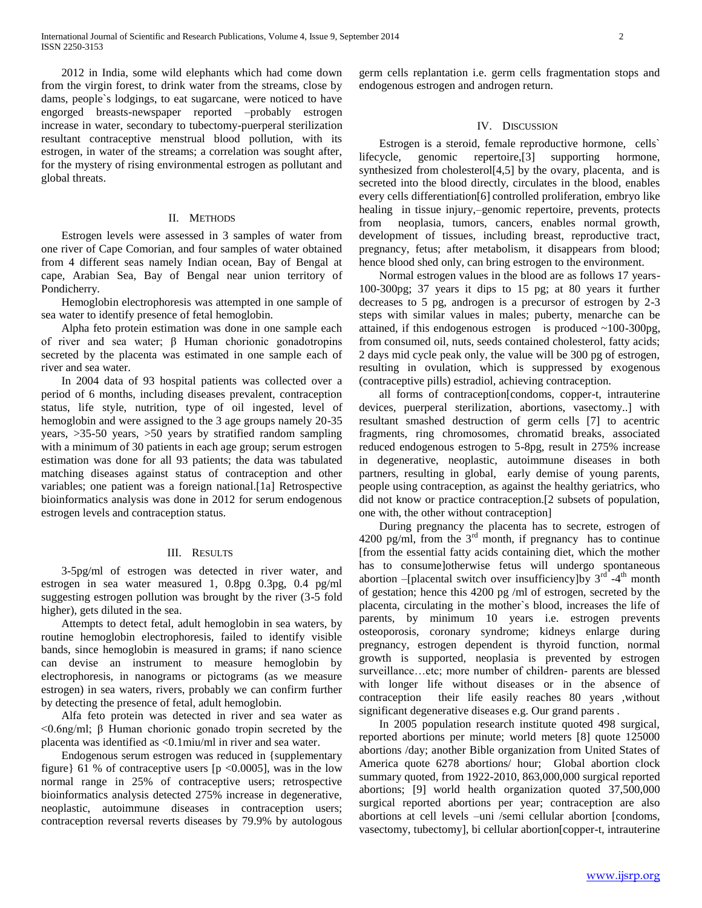2012 in India, some wild elephants which had come down from the virgin forest, to drink water from the streams, close by dams, people`s lodgings, to eat sugarcane, were noticed to have engorged breasts-newspaper reported –probably estrogen increase in water, secondary to tubectomy-puerperal sterilization resultant contraceptive menstrual blood pollution, with its estrogen, in water of the streams; a correlation was sought after, for the mystery of rising environmental estrogen as pollutant and global threats.

# II. METHODS

 Estrogen levels were assessed in 3 samples of water from one river of Cape Comorian, and four samples of water obtained from 4 different seas namely Indian ocean, Bay of Bengal at cape, Arabian Sea, Bay of Bengal near union territory of Pondicherry.

 Hemoglobin electrophoresis was attempted in one sample of sea water to identify presence of fetal hemoglobin.

 Alpha feto protein estimation was done in one sample each of river and sea water; β Human chorionic gonadotropins secreted by the placenta was estimated in one sample each of river and sea water.

 In 2004 data of 93 hospital patients was collected over a period of 6 months, including diseases prevalent, contraception status, life style, nutrition, type of oil ingested, level of hemoglobin and were assigned to the 3 age groups namely 20-35 years, >35-50 years, >50 years by stratified random sampling with a minimum of 30 patients in each age group; serum estrogen estimation was done for all 93 patients; the data was tabulated matching diseases against status of contraception and other variables; one patient was a foreign national.[1a] Retrospective bioinformatics analysis was done in 2012 for serum endogenous estrogen levels and contraception status.

# III. RESULTS

 3-5pg/ml of estrogen was detected in river water, and estrogen in sea water measured 1, 0.8pg 0.3pg, 0.4 pg/ml suggesting estrogen pollution was brought by the river (3-5 fold higher), gets diluted in the sea.

 Attempts to detect fetal, adult hemoglobin in sea waters, by routine hemoglobin electrophoresis, failed to identify visible bands, since hemoglobin is measured in grams; if nano science can devise an instrument to measure hemoglobin by electrophoresis, in nanograms or pictograms (as we measure estrogen) in sea waters, rivers, probably we can confirm further by detecting the presence of fetal, adult hemoglobin.

 Alfa feto protein was detected in river and sea water as <0.6ng/ml; β Human chorionic gonado tropin secreted by the placenta was identified as <0.1miu/ml in river and sea water.

 Endogenous serum estrogen was reduced in {supplementary figure} 61 % of contraceptive users  $[p \lt 0.0005]$ , was in the low normal range in 25% of contraceptive users; retrospective bioinformatics analysis detected 275% increase in degenerative, neoplastic, autoimmune diseases in contraception users; contraception reversal reverts diseases by 79.9% by autologous germ cells replantation i.e. germ cells fragmentation stops and endogenous estrogen and androgen return.

# IV. DISCUSSION

 Estrogen is a steroid, female reproductive hormone, cells` lifecycle, genomic repertoire,[3] supporting hormone, synthesized from cholesterol[4,5] by the ovary, placenta, and is secreted into the blood directly, circulates in the blood, enables every cells differentiation[6] controlled proliferation, embryo like healing in tissue injury,–genomic repertoire, prevents, protects from neoplasia, tumors, cancers, enables normal growth, development of tissues, including breast, reproductive tract, pregnancy, fetus; after metabolism, it disappears from blood; hence blood shed only, can bring estrogen to the environment.

 Normal estrogen values in the blood are as follows 17 years-100-300pg; 37 years it dips to 15 pg; at 80 years it further decreases to 5 pg, androgen is a precursor of estrogen by 2-3 steps with similar values in males; puberty, menarche can be attained, if this endogenous estrogen is produced ~100-300pg, from consumed oil, nuts, seeds contained cholesterol, fatty acids; 2 days mid cycle peak only, the value will be 300 pg of estrogen, resulting in ovulation, which is suppressed by exogenous (contraceptive pills) estradiol, achieving contraception.

 all forms of contraception[condoms, copper-t, intrauterine devices, puerperal sterilization, abortions, vasectomy..] with resultant smashed destruction of germ cells [7] to acentric fragments, ring chromosomes, chromatid breaks, associated reduced endogenous estrogen to 5-8pg, result in 275% increase in degenerative, neoplastic, autoimmune diseases in both partners, resulting in global, early demise of young parents, people using contraception, as against the healthy geriatrics, who did not know or practice contraception.[2 subsets of population, one with, the other without contraception]

 During pregnancy the placenta has to secrete, estrogen of 4200 pg/ml, from the  $3<sup>rd</sup>$  month, if pregnancy has to continue [from the essential fatty acids containing diet, which the mother has to consume]otherwise fetus will undergo spontaneous abortion –[placental switch over insufficiency] by  $3<sup>rd</sup> - 4<sup>th</sup>$  month of gestation; hence this 4200 pg /ml of estrogen, secreted by the placenta, circulating in the mother`s blood, increases the life of parents, by minimum 10 years i.e. estrogen prevents osteoporosis, coronary syndrome; kidneys enlarge during pregnancy, estrogen dependent is thyroid function, normal growth is supported, neoplasia is prevented by estrogen surveillance…etc; more number of children- parents are blessed with longer life without diseases or in the absence of contraception their life easily reaches 80 years ,without significant degenerative diseases e.g. Our grand parents .

 In 2005 population research institute quoted 498 surgical, reported abortions per minute; world meters [8] quote 125000 abortions /day; another Bible organization from United States of America quote 6278 abortions/ hour; Global abortion clock summary quoted, from 1922-2010, 863,000,000 surgical reported abortions; [9] world health organization quoted 37,500,000 surgical reported abortions per year; contraception are also abortions at cell levels –uni /semi cellular abortion [condoms, vasectomy, tubectomy], bi cellular abortion[copper-t, intrauterine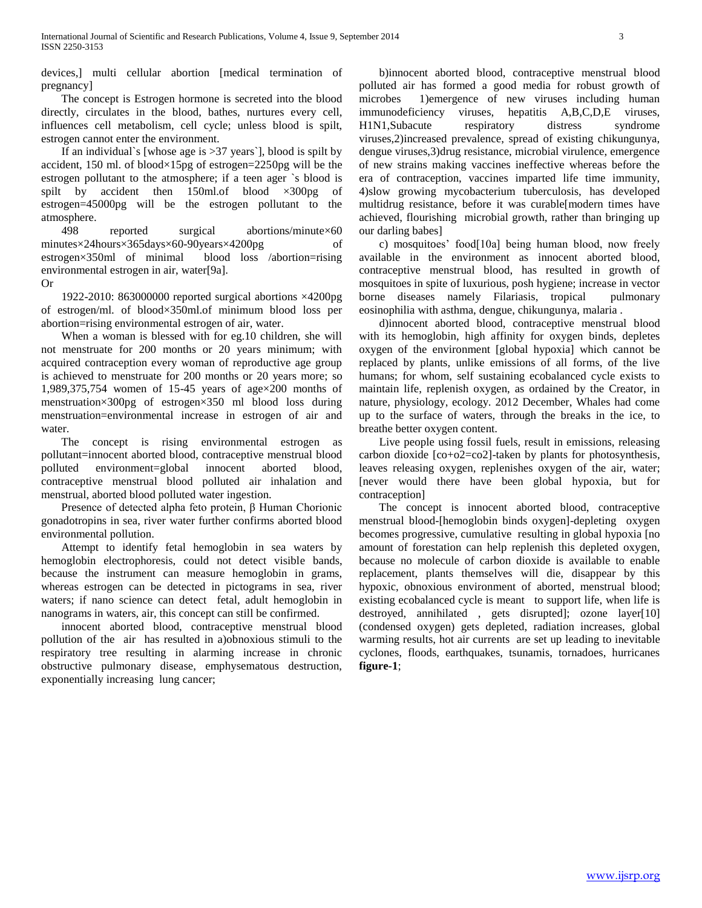devices,] multi cellular abortion [medical termination of pregnancy]

 The concept is Estrogen hormone is secreted into the blood directly, circulates in the blood, bathes, nurtures every cell, influences cell metabolism, cell cycle; unless blood is spilt, estrogen cannot enter the environment.

If an individual`s [whose age is  $>37$  years`], blood is spilt by accident, 150 ml. of blood×15pg of estrogen=2250pg will be the estrogen pollutant to the atmosphere; if a teen ager `s blood is spilt by accident then 150ml.of blood  $\times 300$ pg of estrogen=45000pg will be the estrogen pollutant to the atmosphere.

 498 reported surgical abortions/minute×60 minutes×24hours×365days×60-90years×4200pg of estrogen×350ml of minimal blood loss /abortion=rising environmental estrogen in air, water[9a].

Or

 1922-2010: 863000000 reported surgical abortions ×4200pg of estrogen/ml. of blood×350ml.of minimum blood loss per abortion=rising environmental estrogen of air, water.

 When a woman is blessed with for eg.10 children, she will not menstruate for 200 months or 20 years minimum; with acquired contraception every woman of reproductive age group is achieved to menstruate for 200 months or 20 years more; so 1,989,375,754 women of 15-45 years of age×200 months of menstruation×300pg of estrogen×350 ml blood loss during menstruation=environmental increase in estrogen of air and water.

 The concept is rising environmental estrogen as pollutant=innocent aborted blood, contraceptive menstrual blood polluted environment=global innocent aborted blood, contraceptive menstrual blood polluted air inhalation and menstrual, aborted blood polluted water ingestion.

 Presence of detected alpha feto protein, β Human Chorionic gonadotropins in sea, river water further confirms aborted blood environmental pollution.

 Attempt to identify fetal hemoglobin in sea waters by hemoglobin electrophoresis, could not detect visible bands, because the instrument can measure hemoglobin in grams, whereas estrogen can be detected in pictograms in sea, river waters; if nano science can detect fetal, adult hemoglobin in nanograms in waters, air, this concept can still be confirmed.

 innocent aborted blood, contraceptive menstrual blood pollution of the air has resulted in a)obnoxious stimuli to the respiratory tree resulting in alarming increase in chronic obstructive pulmonary disease, emphysematous destruction, exponentially increasing lung cancer;

 b)innocent aborted blood, contraceptive menstrual blood polluted air has formed a good media for robust growth of microbes 1)emergence of new viruses including human immunodeficiency viruses, hepatitis A,B,C,D,E viruses, H1N1,Subacute respiratory distress syndrome viruses,2)increased prevalence, spread of existing chikungunya, dengue viruses,3)drug resistance, microbial virulence, emergence of new strains making vaccines ineffective whereas before the era of contraception, vaccines imparted life time immunity, 4)slow growing mycobacterium tuberculosis, has developed multidrug resistance, before it was curable[modern times have achieved, flourishing microbial growth, rather than bringing up our darling babes]

 c) mosquitoes' food[10a] being human blood, now freely available in the environment as innocent aborted blood, contraceptive menstrual blood, has resulted in growth of mosquitoes in spite of luxurious, posh hygiene; increase in vector borne diseases namely Filariasis, tropical pulmonary eosinophilia with asthma, dengue, chikungunya, malaria .

 d)innocent aborted blood, contraceptive menstrual blood with its hemoglobin, high affinity for oxygen binds, depletes oxygen of the environment [global hypoxia] which cannot be replaced by plants, unlike emissions of all forms, of the live humans; for whom, self sustaining ecobalanced cycle exists to maintain life, replenish oxygen, as ordained by the Creator, in nature, physiology, ecology. 2012 December, Whales had come up to the surface of waters, through the breaks in the ice, to breathe better oxygen content.

 Live people using fossil fuels, result in emissions, releasing carbon dioxide [co+o2=co2]-taken by plants for photosynthesis, leaves releasing oxygen, replenishes oxygen of the air, water; [never would there have been global hypoxia, but for contraception]

 The concept is innocent aborted blood, contraceptive menstrual blood-[hemoglobin binds oxygen]-depleting oxygen becomes progressive, cumulative resulting in global hypoxia [no amount of forestation can help replenish this depleted oxygen, because no molecule of carbon dioxide is available to enable replacement, plants themselves will die, disappear by this hypoxic, obnoxious environment of aborted, menstrual blood; existing ecobalanced cycle is meant to support life, when life is destroyed, annihilated , gets disrupted]; ozone layer[10] (condensed oxygen) gets depleted, radiation increases, global warming results, hot air currents are set up leading to inevitable cyclones, floods, earthquakes, tsunamis, tornadoes, hurricanes **figure-1**;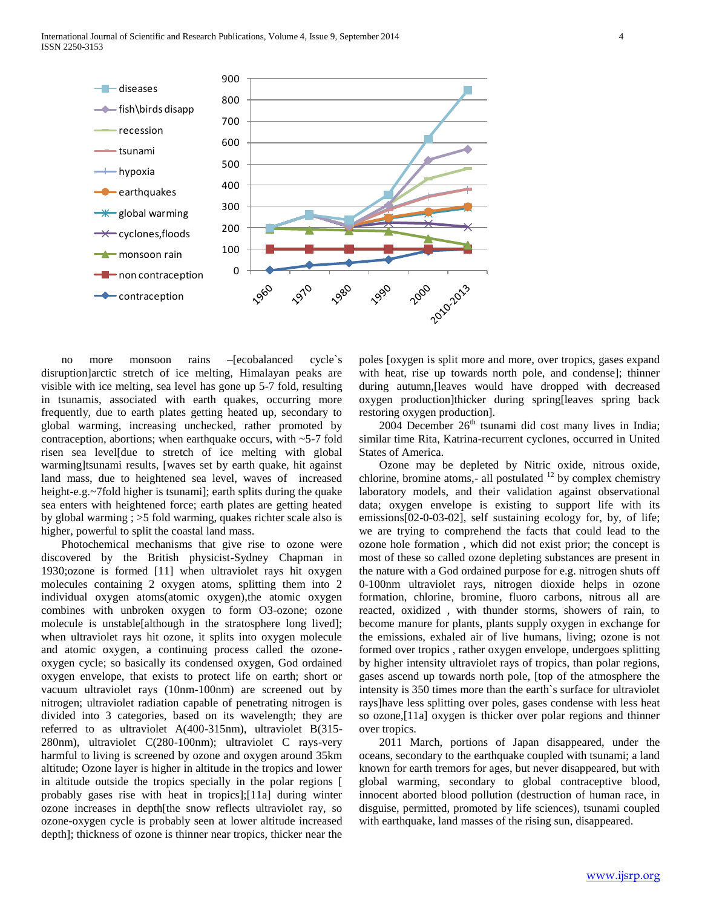

 no more monsoon rains –[ecobalanced cycle`s disruption]arctic stretch of ice melting, Himalayan peaks are visible with ice melting, sea level has gone up 5-7 fold, resulting in tsunamis, associated with earth quakes, occurring more frequently, due to earth plates getting heated up, secondary to global warming, increasing unchecked, rather promoted by contraception, abortions; when earthquake occurs, with  $\sim$  5-7 fold risen sea level[due to stretch of ice melting with global warming]tsunami results, [waves set by earth quake, hit against land mass, due to heightened sea level, waves of increased height-e.g.~7fold higher is tsunami]; earth splits during the quake sea enters with heightened force; earth plates are getting heated by global warming ; >5 fold warming, quakes richter scale also is higher, powerful to split the coastal land mass.

 Photochemical mechanisms that give rise to ozone were discovered by the British physicist-Sydney Chapman in 1930;ozone is formed [11] when ultraviolet rays hit oxygen molecules containing 2 oxygen atoms, splitting them into 2 individual oxygen atoms(atomic oxygen),the atomic oxygen combines with unbroken oxygen to form O3-ozone; ozone molecule is unstable[although in the stratosphere long lived]; when ultraviolet rays hit ozone, it splits into oxygen molecule and atomic oxygen, a continuing process called the ozoneoxygen cycle; so basically its condensed oxygen, God ordained oxygen envelope, that exists to protect life on earth; short or vacuum ultraviolet rays (10nm-100nm) are screened out by nitrogen; ultraviolet radiation capable of penetrating nitrogen is divided into 3 categories, based on its wavelength; they are referred to as ultraviolet A(400-315nm), ultraviolet B(315- 280nm), ultraviolet C(280-100nm); ultraviolet C rays-very harmful to living is screened by ozone and oxygen around 35km altitude; Ozone layer is higher in altitude in the tropics and lower in altitude outside the tropics specially in the polar regions [ probably gases rise with heat in tropics];[11a] during winter ozone increases in depth[the snow reflects ultraviolet ray, so ozone-oxygen cycle is probably seen at lower altitude increased depth]; thickness of ozone is thinner near tropics, thicker near the

poles [oxygen is split more and more, over tropics, gases expand with heat, rise up towards north pole, and condense]; thinner during autumn,[leaves would have dropped with decreased oxygen production]thicker during spring[leaves spring back restoring oxygen production].

 $2004$  December  $26<sup>th</sup>$  tsunami did cost many lives in India; similar time Rita, Katrina-recurrent cyclones, occurred in United States of America.

 Ozone may be depleted by Nitric oxide, nitrous oxide, chlorine, bromine atoms,- all postulated  $12$  by complex chemistry laboratory models, and their validation against observational data; oxygen envelope is existing to support life with its emissions[02-0-03-02], self sustaining ecology for, by, of life; we are trying to comprehend the facts that could lead to the ozone hole formation , which did not exist prior; the concept is most of these so called ozone depleting substances are present in the nature with a God ordained purpose for e.g. nitrogen shuts off 0-100nm ultraviolet rays, nitrogen dioxide helps in ozone formation, chlorine, bromine, fluoro carbons, nitrous all are reacted, oxidized , with thunder storms, showers of rain, to become manure for plants, plants supply oxygen in exchange for the emissions, exhaled air of live humans, living; ozone is not formed over tropics , rather oxygen envelope, undergoes splitting by higher intensity ultraviolet rays of tropics, than polar regions, gases ascend up towards north pole, [top of the atmosphere the intensity is 350 times more than the earth`s surface for ultraviolet rays]have less splitting over poles, gases condense with less heat so ozone,[11a] oxygen is thicker over polar regions and thinner over tropics.

 2011 March, portions of Japan disappeared, under the oceans, secondary to the earthquake coupled with tsunami; a land known for earth tremors for ages, but never disappeared, but with global warming, secondary to global contraceptive blood, innocent aborted blood pollution (destruction of human race, in disguise, permitted, promoted by life sciences), tsunami coupled with earthquake, land masses of the rising sun, disappeared.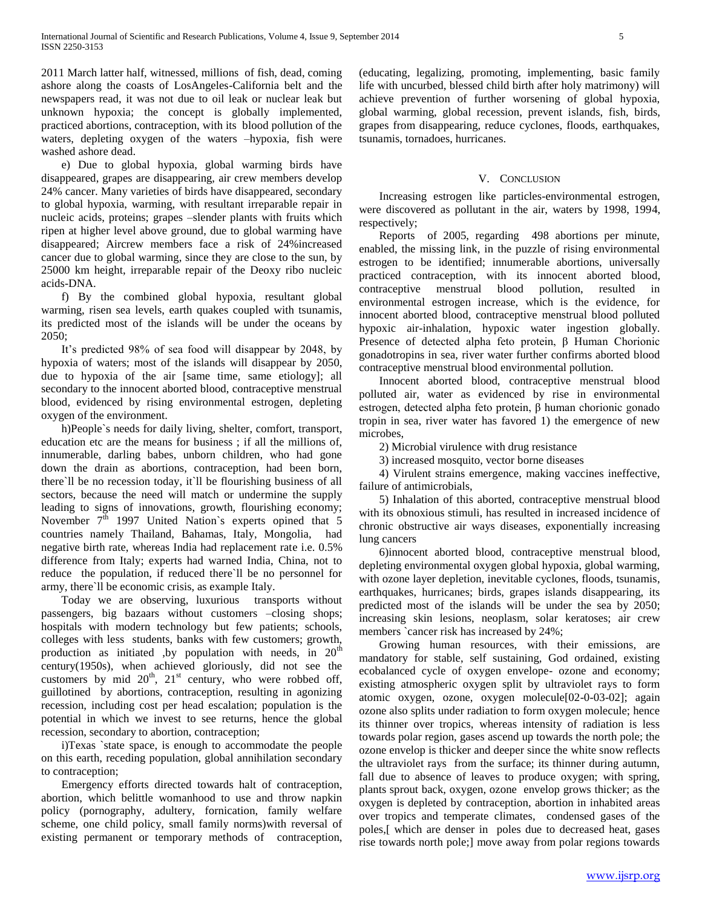2011 March latter half, witnessed, millions of fish, dead, coming ashore along the coasts of LosAngeles-California belt and the newspapers read, it was not due to oil leak or nuclear leak but unknown hypoxia; the concept is globally implemented, practiced abortions, contraception, with its blood pollution of the waters, depleting oxygen of the waters –hypoxia, fish were washed ashore dead.

 e) Due to global hypoxia, global warming birds have disappeared, grapes are disappearing, air crew members develop 24% cancer. Many varieties of birds have disappeared, secondary to global hypoxia, warming, with resultant irreparable repair in nucleic acids, proteins; grapes –slender plants with fruits which ripen at higher level above ground, due to global warming have disappeared; Aircrew members face a risk of 24%increased cancer due to global warming, since they are close to the sun, by 25000 km height, irreparable repair of the Deoxy ribo nucleic acids-DNA.

 f) By the combined global hypoxia, resultant global warming, risen sea levels, earth quakes coupled with tsunamis, its predicted most of the islands will be under the oceans by 2050;

 It's predicted 98% of sea food will disappear by 2048, by hypoxia of waters; most of the islands will disappear by 2050, due to hypoxia of the air [same time, same etiology]; all secondary to the innocent aborted blood, contraceptive menstrual blood, evidenced by rising environmental estrogen, depleting oxygen of the environment.

 h)People`s needs for daily living, shelter, comfort, transport, education etc are the means for business ; if all the millions of, innumerable, darling babes, unborn children, who had gone down the drain as abortions, contraception, had been born, there`ll be no recession today, it`ll be flourishing business of all sectors, because the need will match or undermine the supply leading to signs of innovations, growth, flourishing economy; November  $7<sup>th</sup>$  1997 United Nation's experts opined that 5 countries namely Thailand, Bahamas, Italy, Mongolia, had negative birth rate, whereas India had replacement rate i.e. 0.5% difference from Italy; experts had warned India, China, not to reduce the population, if reduced there`ll be no personnel for army, there`ll be economic crisis, as example Italy.

 Today we are observing, luxurious transports without passengers, big bazaars without customers –closing shops; hospitals with modern technology but few patients; schools, colleges with less students, banks with few customers; growth, production as initiated ,by population with needs, in  $20<sup>th</sup>$ century(1950s), when achieved gloriously, did not see the customers by mid  $20<sup>th</sup>$ ,  $21<sup>st</sup>$  century, who were robbed off, guillotined by abortions, contraception, resulting in agonizing recession, including cost per head escalation; population is the potential in which we invest to see returns, hence the global recession, secondary to abortion, contraception;

 i)Texas `state space, is enough to accommodate the people on this earth, receding population, global annihilation secondary to contraception;

 Emergency efforts directed towards halt of contraception, abortion, which belittle womanhood to use and throw napkin policy (pornography, adultery, fornication, family welfare scheme, one child policy, small family norms)with reversal of existing permanent or temporary methods of contraception,

(educating, legalizing, promoting, implementing, basic family life with uncurbed, blessed child birth after holy matrimony) will achieve prevention of further worsening of global hypoxia, global warming, global recession, prevent islands, fish, birds, grapes from disappearing, reduce cyclones, floods, earthquakes, tsunamis, tornadoes, hurricanes.

# V. CONCLUSION

 Increasing estrogen like particles-environmental estrogen, were discovered as pollutant in the air, waters by 1998, 1994, respectively;

 Reports of 2005, regarding 498 abortions per minute, enabled, the missing link, in the puzzle of rising environmental estrogen to be identified; innumerable abortions, universally practiced contraception, with its innocent aborted blood, contraceptive menstrual blood pollution, resulted in environmental estrogen increase, which is the evidence, for innocent aborted blood, contraceptive menstrual blood polluted hypoxic air-inhalation, hypoxic water ingestion globally. Presence of detected alpha feto protein, β Human Chorionic gonadotropins in sea, river water further confirms aborted blood contraceptive menstrual blood environmental pollution.

 Innocent aborted blood, contraceptive menstrual blood polluted air, water as evidenced by rise in environmental estrogen, detected alpha feto protein, β human chorionic gonado tropin in sea, river water has favored 1) the emergence of new microbes,

2) Microbial virulence with drug resistance

3) increased mosquito, vector borne diseases

 4) Virulent strains emergence, making vaccines ineffective, failure of antimicrobials,

 5) Inhalation of this aborted, contraceptive menstrual blood with its obnoxious stimuli, has resulted in increased incidence of chronic obstructive air ways diseases, exponentially increasing lung cancers

 6)innocent aborted blood, contraceptive menstrual blood, depleting environmental oxygen global hypoxia, global warming, with ozone layer depletion, inevitable cyclones, floods, tsunamis, earthquakes, hurricanes; birds, grapes islands disappearing, its predicted most of the islands will be under the sea by 2050; increasing skin lesions, neoplasm, solar keratoses; air crew members `cancer risk has increased by 24%;

 Growing human resources, with their emissions, are mandatory for stable, self sustaining, God ordained, existing ecobalanced cycle of oxygen envelope- ozone and economy; existing atmospheric oxygen split by ultraviolet rays to form atomic oxygen, ozone, oxygen molecule[02-0-03-02]; again ozone also splits under radiation to form oxygen molecule; hence its thinner over tropics, whereas intensity of radiation is less towards polar region, gases ascend up towards the north pole; the ozone envelop is thicker and deeper since the white snow reflects the ultraviolet rays from the surface; its thinner during autumn, fall due to absence of leaves to produce oxygen; with spring, plants sprout back, oxygen, ozone envelop grows thicker; as the oxygen is depleted by contraception, abortion in inhabited areas over tropics and temperate climates, condensed gases of the poles,[ which are denser in poles due to decreased heat, gases rise towards north pole;] move away from polar regions towards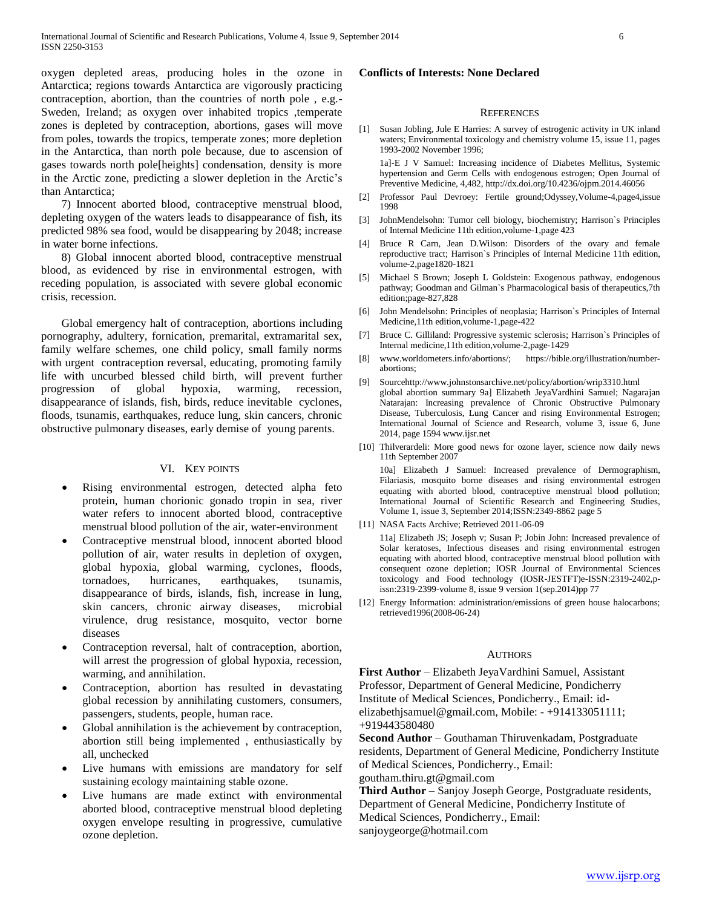oxygen depleted areas, producing holes in the ozone in Antarctica; regions towards Antarctica are vigorously practicing contraception, abortion, than the countries of north pole , e.g.- Sweden, Ireland; as oxygen over inhabited tropics ,temperate zones is depleted by contraception, abortions, gases will move from poles, towards the tropics, temperate zones; more depletion in the Antarctica, than north pole because, due to ascension of gases towards north pole[heights] condensation, density is more in the Arctic zone, predicting a slower depletion in the Arctic's than Antarctica;

 7) Innocent aborted blood, contraceptive menstrual blood, depleting oxygen of the waters leads to disappearance of fish, its predicted 98% sea food, would be disappearing by 2048; increase in water borne infections.

 8) Global innocent aborted blood, contraceptive menstrual blood, as evidenced by rise in environmental estrogen, with receding population, is associated with severe global economic crisis, recession.

 Global emergency halt of contraception, abortions including pornography, adultery, fornication, premarital, extramarital sex, family welfare schemes, one child policy, small family norms with urgent contraception reversal, educating, promoting family life with uncurbed blessed child birth, will prevent further progression of global hypoxia, warming, recession, disappearance of islands, fish, birds, reduce inevitable cyclones, floods, tsunamis, earthquakes, reduce lung, skin cancers, chronic obstructive pulmonary diseases, early demise of young parents.

## VI. KEY POINTS

- Rising environmental estrogen, detected alpha feto protein, human chorionic gonado tropin in sea, river water refers to innocent aborted blood, contraceptive menstrual blood pollution of the air, water-environment
- Contraceptive menstrual blood, innocent aborted blood pollution of air, water results in depletion of oxygen, global hypoxia, global warming, cyclones, floods, tornadoes, hurricanes, earthquakes, tsunamis, disappearance of birds, islands, fish, increase in lung, skin cancers, chronic airway diseases, microbial virulence, drug resistance, mosquito, vector borne diseases
- Contraception reversal, halt of contraception, abortion, will arrest the progression of global hypoxia, recession, warming, and annihilation.
- Contraception, abortion has resulted in devastating global recession by annihilating customers, consumers, passengers, students, people, human race.
- Global annihilation is the achievement by contraception, abortion still being implemented , enthusiastically by all, unchecked
- Live humans with emissions are mandatory for self sustaining ecology maintaining stable ozone.
- Live humans are made extinct with environmental aborted blood, contraceptive menstrual blood depleting oxygen envelope resulting in progressive, cumulative ozone depletion.

## **Conflicts of Interests: None Declared**

#### **REFERENCES**

[1] Susan Jobling, Jule E Harries: A survey of estrogenic activity in UK inland waters; Environmental toxicology and chemistry volume 15, issue 11, pages 1993-2002 November 1996;

1a]-E J V Samuel: Increasing incidence of Diabetes Mellitus, Systemic hypertension and Germ Cells with endogenous estrogen; Open Journal of Preventive Medicine, 4,482, http://dx.doi.org/10.4236/ojpm.2014.46056

- [2] Professor Paul Devroey: Fertile ground;Odyssey,Volume-4,page4,issue 1998
- [3] JohnMendelsohn: Tumor cell biology, biochemistry; Harrison`s Principles of Internal Medicine 11th edition,volume-1,page 423
- [4] Bruce R Carn, Jean D.Wilson: Disorders of the ovary and female reproductive tract; Harrison`s Principles of Internal Medicine 11th edition, volume-2,page1820-1821
- [5] Michael S Brown; Joseph L Goldstein: Exogenous pathway, endogenous pathway; Goodman and Gilman`s Pharmacological basis of therapeutics,7th edition;page-827,828
- [6] John Mendelsohn: Principles of neoplasia; Harrison`s Principles of Internal Medicine,11th edition,volume-1,page-422
- [7] Bruce C. Gilliland: Progressive systemic sclerosis; Harrison`s Principles of Internal medicine,11th edition,volume-2,page-1429
- [8] www.worldometers.info/abortions/; https://bible.org/illustration/numberabortions;
- [9] Sourcehttp://www.johnstonsarchive.net/policy/abortion/wrip3310.html global abortion summary 9a] Elizabeth JeyaVardhini Samuel; Nagarajan Natarajan: Increasing prevalence of Chronic Obstructive Pulmonary Disease, Tuberculosis, Lung Cancer and rising Environmental Estrogen; International Journal of Science and Research, volume 3, issue 6, June 2014, page 1594 www.ijsr.net
- [10] Thilverardeli: More good news for ozone layer, science now daily news 11th September 2007 10a] Elizabeth J Samuel: Increased prevalence of Dermographism, Filariasis, mosquito borne diseases and rising environmental estrogen equating with aborted blood, contraceptive menstrual blood pollution; International Journal of Scientific Research and Engineering Studies, Volume 1, issue 3, September 2014;ISSN:2349-8862 page 5
- [11] NASA Facts Archive; Retrieved 2011-06-09
	- 11a] Elizabeth JS; Joseph v; Susan P; Jobin John: Increased prevalence of Solar keratoses, Infectious diseases and rising environmental estrogen equating with aborted blood, contraceptive menstrual blood pollution with consequent ozone depletion; IOSR Journal of Environmental Sciences toxicology and Food technology (IOSR-JESTFT)e-ISSN:2319-2402,pissn:2319-2399-volume 8, issue 9 version 1(sep.2014)pp 77
- [12] Energy Information: administration/emissions of green house halocarbons; retrieved1996(2008-06-24)

#### **AUTHORS**

**First Author** – Elizabeth JeyaVardhini Samuel, Assistant Professor, Department of General Medicine, Pondicherry Institute of Medical Sciences, Pondicherry., Email: idelizabethjsamuel@gmail.com, Mobile: - +914133051111; +919443580480

**Second Author** – Gouthaman Thiruvenkadam, Postgraduate residents, Department of General Medicine, Pondicherry Institute of Medical Sciences, Pondicherry., Email:

goutham.thiru.gt@gmail.com

**Third Author** – Sanjoy Joseph George, Postgraduate residents, Department of General Medicine, Pondicherry Institute of Medical Sciences, Pondicherry., Email: sanjoygeorge@hotmail.com